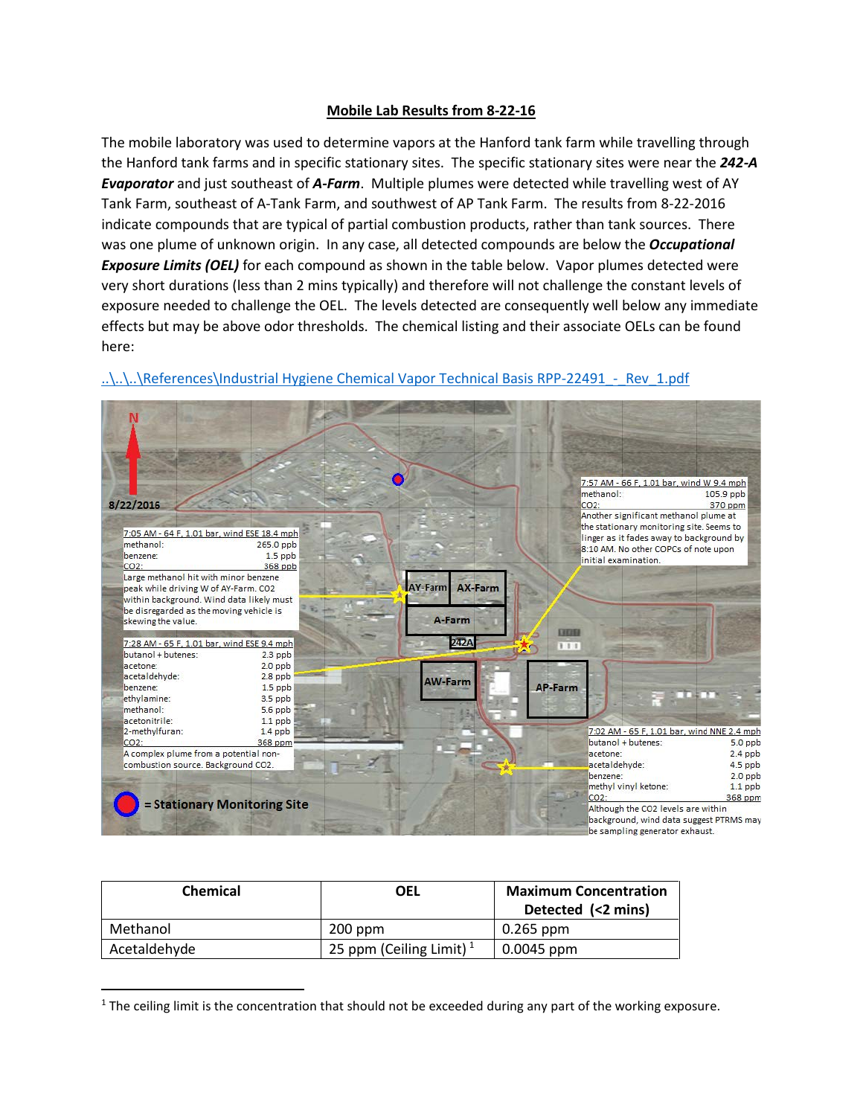## **Mobile Lab Results from 8-22-16**

The mobile laboratory was used to determine vapors at the Hanford tank farm while travelling through the Hanford tank farms and in specific stationary sites. The specific stationary sites were near the *242-A Evaporator* and just southeast of *A-Farm*. Multiple plumes were detected while travelling west of AY Tank Farm, southeast of A-Tank Farm, and southwest of AP Tank Farm. The results from 8-22-2016 indicate compounds that are typical of partial combustion products, rather than tank sources. There was one plume of unknown origin. In any case, all detected compounds are below the *Occupational Exposure Limits (OEL)* for each compound as shown in the table below. Vapor plumes detected were very short durations (less than 2 mins typically) and therefore will not challenge the constant levels of exposure needed to challenge the OEL. The levels detected are consequently well below any immediate effects but may be above odor thresholds. The chemical listing and their associate OELs can be found here:



## ..\..\..\References\Industrial Hygiene Chemical Vapor Technical Basis RPP-22491 - Rev\_1.pdf

| <b>Chemical</b> | OEL                        | <b>Maximum Concentration</b><br>Detected (<2 mins) |
|-----------------|----------------------------|----------------------------------------------------|
| Methanol        | $200$ ppm                  | 0.265 ppm                                          |
| Acetaldehyde    | 25 ppm (Ceiling Limit) $1$ | 0.0045 ppm                                         |

<span id="page-0-0"></span> $1$  The ceiling limit is the concentration that should not be exceeded during any part of the working exposure.